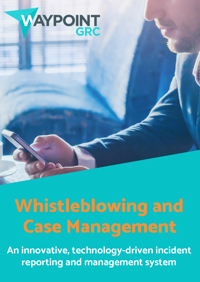

## **Whistleblowing and Case Management**

**An innovative, technology-driven incident reporting and management system**